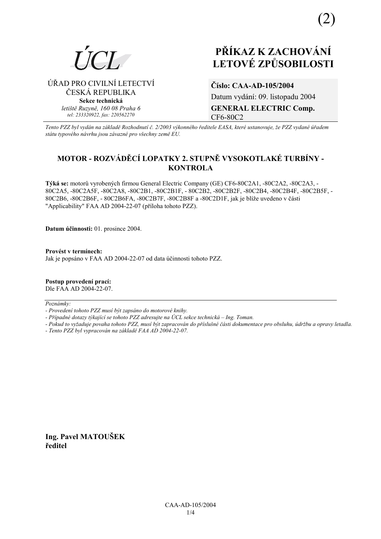

# **PŘÍKAZ K ZACHOVÁNÍ LETOV… ZPŮSOBILOSTI**

⁄ŘAD PRO CIVILNÕ LETECTVÕ ČESKÁ REPUBLIKA **Sekce technická** *letiötě Ruzyně, 160 08 Praha 6 tel: 233320922, fax: 220562270*

**ČÌslo: CAA-AD-105/2004**  Datum vydání: 09. listopadu 2004 **GENERAL ELECTRIC Comp.**  CF6-80C2

*Tento PZZ byl vyd·n na z·kladě RozhodnutÌ č. 2/2003 v˝konnÈho ředitele EASA, kterÈ ustanovuje, ûe PZZ vydanÈ ˙řadem st·tu typovÈho n·vrhu jsou z·vaznÈ pro vöechny země EU.*

# **MOTOR - ROZV£DĚCÕ LOPATKY 2. STUPNĚ VYSOKOTLAK… TURBÕNY - KONTROLA**

Týká se: motorů vyrobených firmou General Electric Company (GE) CF6-80C2A1, -80C2A2, -80C2A3, -80C2A5, -80C2A5F, -80C2A8, -80C2B1, -80C2B1F, - 80C2B2, -80C2B2F, -80C2B4, -80C2B4F, -80C2B5F, - 80C2B6, -80C2B6F, - 80C2B6FA, -80C2B7F, -80C2B8F a -80C2D1F, jak je blíže uvedeno v části "Applicability" FAA AD 2004-22-07 (příloha tohoto PZZ).

**Datum ˙činnosti:** 01. prosince 2004.

Provést v termínech: Jak je popsáno v FAA AD 2004-22-07 od data účinnosti tohoto PZZ.

**Postup provedenÌ pracÌ:**  Dle FAA AD 2004-22-07.

Poznámky:

- *Pokud to vyûaduje povaha tohoto PZZ, musÌ b˝t zapracov·n do přÌsluönÈ č·sti dokumentace pro obsluhu, ˙drûbu a opravy letadla.*
- *Tento PZZ byl vypracov·n na z·kladě FAA AD 2004-22-07.*

**Ing. Pavel MATOUäEK ředitel** 

*<sup>-</sup> ProvedenÌ tohoto PZZ musÌ b˝t zaps·no do motorovÈ knihy.* 

<sup>-</sup> Případné dotazy týkající se tohoto PZZ adresujte na ÚCL sekce technická – Ing. Toman.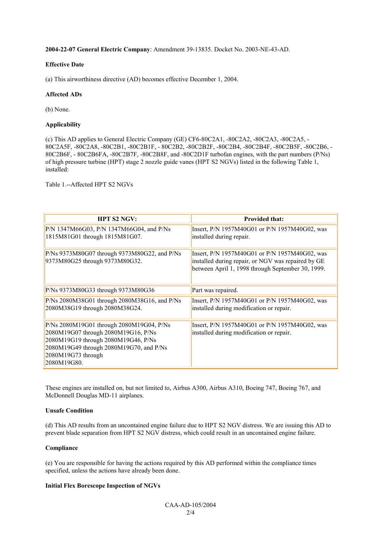#### **2004-22-07 General Electric Company**: Amendment 39-13835. Docket No. 2003-NE-43-AD.

# **Effective Date**

(a) This airworthiness directive (AD) becomes effective December 1, 2004.

# **Affected ADs**

(b) None.

# **Applicability**

(c) This AD applies to General Electric Company (GE) CF6-80C2A1, -80C2A2, -80C2A3, -80C2A5, - 80C2A5F, -80C2A8, -80C2B1, -80C2B1F, - 80C2B2, -80C2B2F, -80C2B4, -80C2B4F, -80C2B5F, -80C2B6, - 80C2B6F, - 80C2B6FA, -80C2B7F, -80C2B8F, and -80C2D1F turbofan engines, with the part numbers (P/Ns) of high pressure turbine (HPT) stage 2 nozzle guide vanes (HPT S2 NGVs) listed in the following Table 1, installed:

Table 1.--Affected HPT S2 NGVs

| <b>HPT S2 NGV:</b>                                                                                                                                                                                     | <b>Provided that:</b>                                                                                                                                    |
|--------------------------------------------------------------------------------------------------------------------------------------------------------------------------------------------------------|----------------------------------------------------------------------------------------------------------------------------------------------------------|
| P/N 1347M66G03, P/N 1347M66G04, and P/Ns<br>1815M81G01 through 1815M81G07.                                                                                                                             | Insert, P/N 1957M40G01 or P/N 1957M40G02, was<br>installed during repair.                                                                                |
| $P/Ns$ 9373M80G07 through 9373M80G22, and $P/Ns$<br>9373M80G25 through 9373M80G32.                                                                                                                     | Insert, P/N 1957M40G01 or P/N 1957M40G02, was<br>installed during repair, or NGV was repaired by GE<br>between April 1, 1998 through September 30, 1999. |
| P/Ns 9373M80G33 through 9373M80G36                                                                                                                                                                     | Part was repaired.                                                                                                                                       |
| $P/Ns$ 2080M38G01 through 2080M38G16, and P/Ns<br>2080M38G19 through 2080M38G24.                                                                                                                       | Insert, P/N 1957M40G01 or P/N 1957M40G02, was<br>installed during modification or repair.                                                                |
| P/Ns 2080M19G01 through 2080M19G04, P/Ns<br>2080M19G07 through 2080M19G16, P/Ns<br>2080M19G19 through 2080M19G46, P/Ns<br>2080M19G49 through 2080M19G70, and P/Ns<br>2080M19G73 through<br>2080M19G80. | Insert, P/N 1957M40G01 or P/N 1957M40G02, was<br>installed during modification or repair.                                                                |

These engines are installed on, but not limited to, Airbus A300, Airbus A310, Boeing 747, Boeing 767, and McDonnell Douglas MD-11 airplanes.

#### **Unsafe Condition**

(d) This AD results from an uncontained engine failure due to HPT S2 NGV distress. We are issuing this AD to prevent blade separation from HPT S2 NGV distress, which could result in an uncontained engine failure.

#### **Compliance**

(e) You are responsible for having the actions required by this AD performed within the compliance times specified, unless the actions have already been done.

#### **Initial Flex Borescope Inspection of NGVs**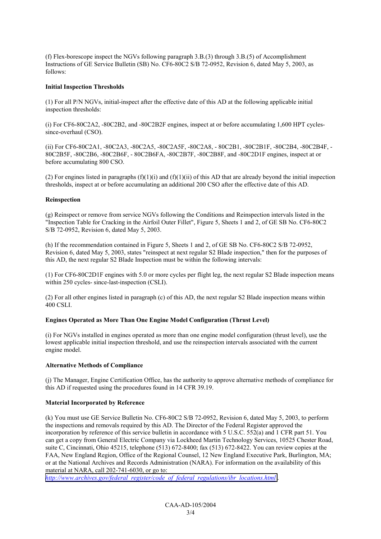(f) Flex-borescope inspect the NGVs following paragraph 3.B.(3) through 3.B.(5) of Accomplishment Instructions of GE Service Bulletin (SB) No. CF6-80C2 S/B 72-0952, Revision 6, dated May 5, 2003, as follows:

#### **Initial Inspection Thresholds**

(1) For all P/N NGVs, initial-inspect after the effective date of this AD at the following applicable initial inspection thresholds:

(i) For CF6-80C2A2, -80C2B2, and -80C2B2F engines, inspect at or before accumulating 1,600 HPT cyclessince-overhaul (CSO).

(ii) For CF6-80C2A1, -80C2A3, -80C2A5, -80C2A5F, -80C2A8, - 80C2B1, -80C2B1F, -80C2B4, -80C2B4F, - 80C2B5F, -80C2B6, -80C2B6F, - 80C2B6FA, -80C2B7F, -80C2B8F, and -80C2D1F engines, inspect at or before accumulating 800 CSO.

(2) For engines listed in paragraphs  $(f)(1)(i)$  and  $(f)(1)(ii)$  of this AD that are already beyond the initial inspection thresholds, inspect at or before accumulating an additional 200 CSO after the effective date of this AD.

# **Reinspection**

(g) Reinspect or remove from service NGVs following the Conditions and Reinspection intervals listed in the "Inspection Table for Cracking in the Airfoil Outer Fillet", Figure 5, Sheets 1 and 2, of GE SB No. CF6-80C2 S/B 72-0952, Revision 6, dated May 5, 2003.

(h) If the recommendation contained in Figure 5, Sheets 1 and 2, of GE SB No. CF6-80C2 S/B 72-0952, Revision 6, dated May 5, 2003, states "reinspect at next regular S2 Blade inspection," then for the purposes of this AD, the next regular S2 Blade Inspection must be within the following intervals:

(1) For CF6-80C2D1F engines with 5.0 or more cycles per flight leg, the next regular S2 Blade inspection means within 250 cycles- since-last-inspection (CSLI).

(2) For all other engines listed in paragraph (c) of this AD, the next regular S2 Blade inspection means within 400 CSLI.

# **Engines Operated as More Than One Engine Model Configuration (Thrust Level)**

(i) For NGVs installed in engines operated as more than one engine model configuration (thrust level), use the lowest applicable initial inspection threshold, and use the reinspection intervals associated with the current engine model.

#### **Alternative Methods of Compliance**

(j) The Manager, Engine Certification Office, has the authority to approve alternative methods of compliance for this AD if requested using the procedures found in 14 CFR 39.19.

#### **Material Incorporated by Reference**

(k) You must use GE Service Bulletin No. CF6-80C2 S/B 72-0952, Revision 6, dated May 5, 2003, to perform the inspections and removals required by this AD. The Director of the Federal Register approved the incorporation by reference of this service bulletin in accordance with 5 U.S.C. 552(a) and 1 CFR part 51. You can get a copy from General Electric Company via Lockheed Martin Technology Services, 10525 Chester Road, suite C, Cincinnati, Ohio 45215, telephone (513) 672-8400; fax (513) 672-8422. You can review copies at the FAA, New England Region, Office of the Regional Counsel, 12 New England Executive Park, Burlington, MA; or at the National Archives and Records Administration (NARA). For information on the availability of this material at NARA, call 202-741-6030, or go to:

*[http://www.archives.gov/federal\\_register/code\\_of\\_federal\\_regulations/ibr\\_locations.html](http://www.archives.gov/federal_register/code_of_federal_regulations/ibr_locations.html)* .